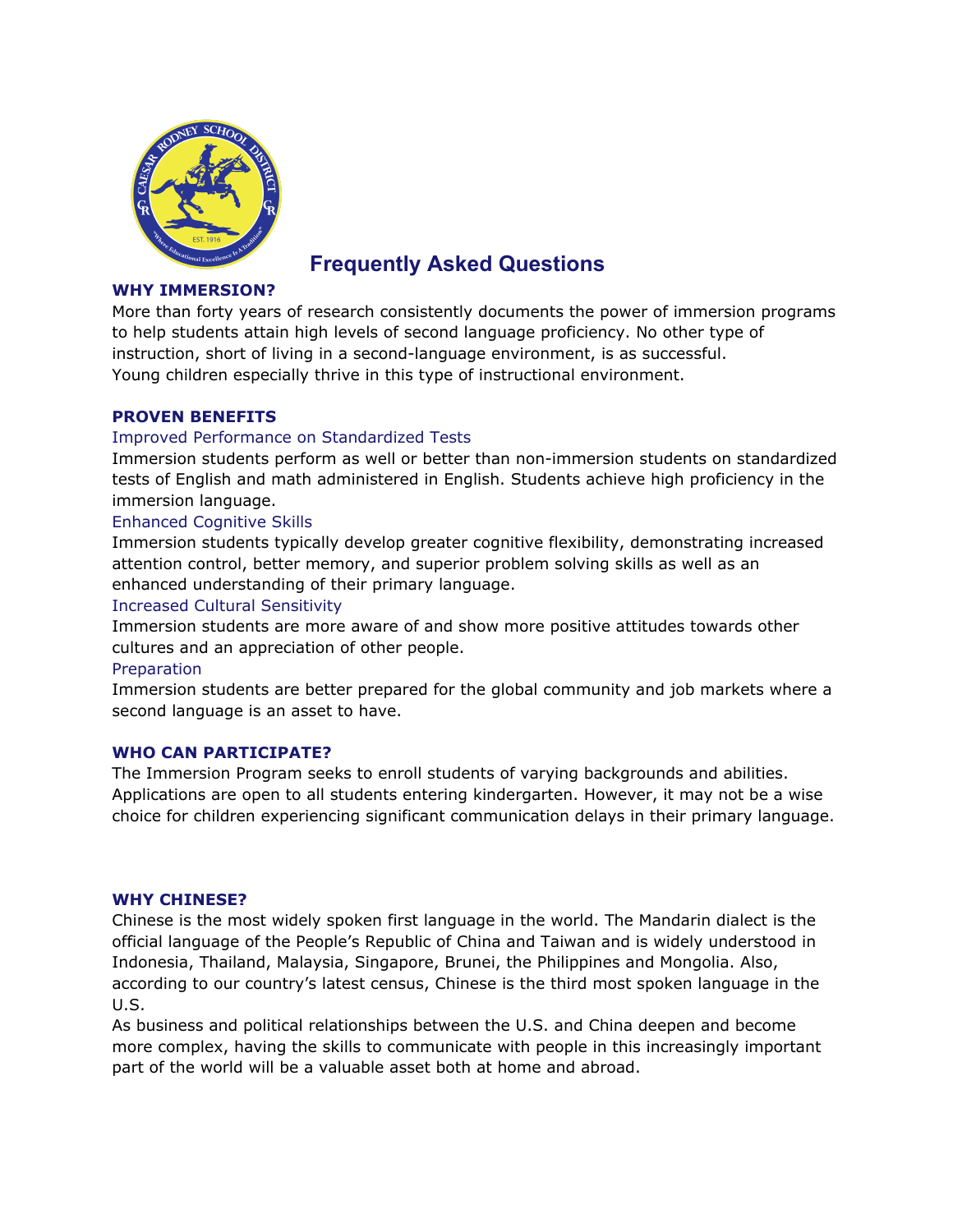

# **Frequently Asked Questions**

## **WHY IMMERSION?**

More than forty years of research consistently documents the power of immersion programs to help students attain high levels of second language proficiency. No other type of instruction, short of living in a second-language environment, is as successful. Young children especially thrive in this type of instructional environment.

## **PROVEN BENEFITS**

## Improved Performance on Standardized Tests

Immersion students perform as well or better than non-immersion students on standardized tests of English and math administered in English. Students achieve high proficiency in the immersion language.

## Enhanced Cognitive Skills

Immersion students typically develop greater cognitive flexibility, demonstrating increased attention control, better memory, and superior problem solving skills as well as an enhanced understanding of their primary language.

### Increased Cultural Sensitivity

Immersion students are more aware of and show more positive attitudes towards other cultures and an appreciation of other people.

### Preparation

Immersion students are better prepared for the global community and job markets where a second language is an asset to have.

### **WHO CAN PARTICIPATE?**

The Immersion Program seeks to enroll students of varying backgrounds and abilities. Applications are open to all students entering kindergarten. However, it may not be a wise choice for children experiencing significant communication delays in their primary language.

### **WHY CHINESE?**

Chinese is the most widely spoken first language in the world. The Mandarin dialect is the official language of the People's Republic of China and Taiwan and is widely understood in Indonesia, Thailand, Malaysia, Singapore, Brunei, the Philippines and Mongolia. Also, according to our country's latest census, Chinese is the third most spoken language in the U.S.

As business and political relationships between the U.S. and China deepen and become more complex, having the skills to communicate with people in this increasingly important part of the world will be a valuable asset both at home and abroad.